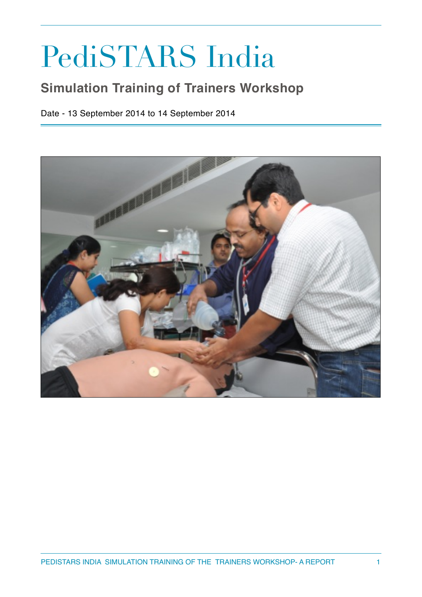## PediSTARS India

## **Simulation Training of Trainers Workshop**

Date - 13 September 2014 to 14 September 2014